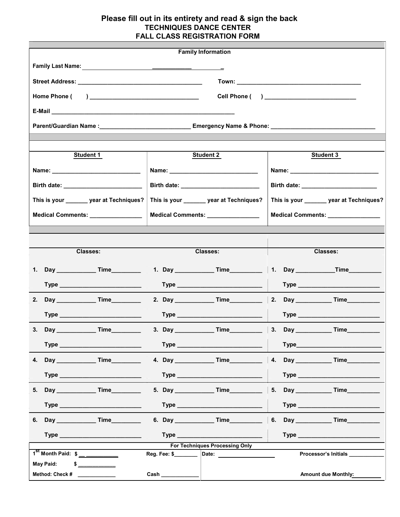## Please fill out in its entirety and read & sign the back TECHNIQUES DANCE CENTER FALL CLASS REGISTRATION FORM

|                                                                                                               | <b>Family Information</b>                             |                                          |  |
|---------------------------------------------------------------------------------------------------------------|-------------------------------------------------------|------------------------------------------|--|
|                                                                                                               |                                                       |                                          |  |
|                                                                                                               |                                                       |                                          |  |
| Cell Phone ( ) ______________________________                                                                 |                                                       |                                          |  |
|                                                                                                               |                                                       |                                          |  |
| Parent/Guardian Name :_________________________________Emergency Name & Phone: ______________________________ |                                                       |                                          |  |
|                                                                                                               |                                                       |                                          |  |
| <b>Student 1</b>                                                                                              | <b>Student 2</b>                                      | <b>Student 3</b>                         |  |
|                                                                                                               |                                                       |                                          |  |
|                                                                                                               |                                                       |                                          |  |
| This is your _______ year at Techniques?                                                                      | This is your ______ year at Techniques?               | This is your _______ year at Techniques? |  |
| Medical Comments: _______________                                                                             |                                                       |                                          |  |
|                                                                                                               | Medical Comments: ______________                      | Medical Comments: _______________        |  |
|                                                                                                               |                                                       |                                          |  |
| <b>Classes:</b>                                                                                               | <b>Classes:</b>                                       | <b>Classes:</b>                          |  |
|                                                                                                               |                                                       | 1. Day ______________Time_______         |  |
|                                                                                                               |                                                       |                                          |  |
|                                                                                                               |                                                       | 2. Day _______________Time_____________  |  |
|                                                                                                               |                                                       |                                          |  |
|                                                                                                               |                                                       |                                          |  |
|                                                                                                               |                                                       |                                          |  |
|                                                                                                               |                                                       |                                          |  |
|                                                                                                               |                                                       | 4. Day ________________ Time___________  |  |
|                                                                                                               |                                                       |                                          |  |
|                                                                                                               |                                                       | 5. Day ________________ Time____________ |  |
|                                                                                                               |                                                       |                                          |  |
|                                                                                                               |                                                       | 6. Day _____________Time_________        |  |
|                                                                                                               |                                                       |                                          |  |
| $1^{st}$ Month Paid: $\frac{s}{s}$ ____________                                                               | <b>For Techniques Processing Only</b><br>Reg. Fee: \$ | Processor's Initials                     |  |
| <b>May Paid:</b><br>\$                                                                                        |                                                       |                                          |  |
| Method: Check #<br><u>and the state</u>                                                                       |                                                       | <b>Amount due Monthly:</b>               |  |